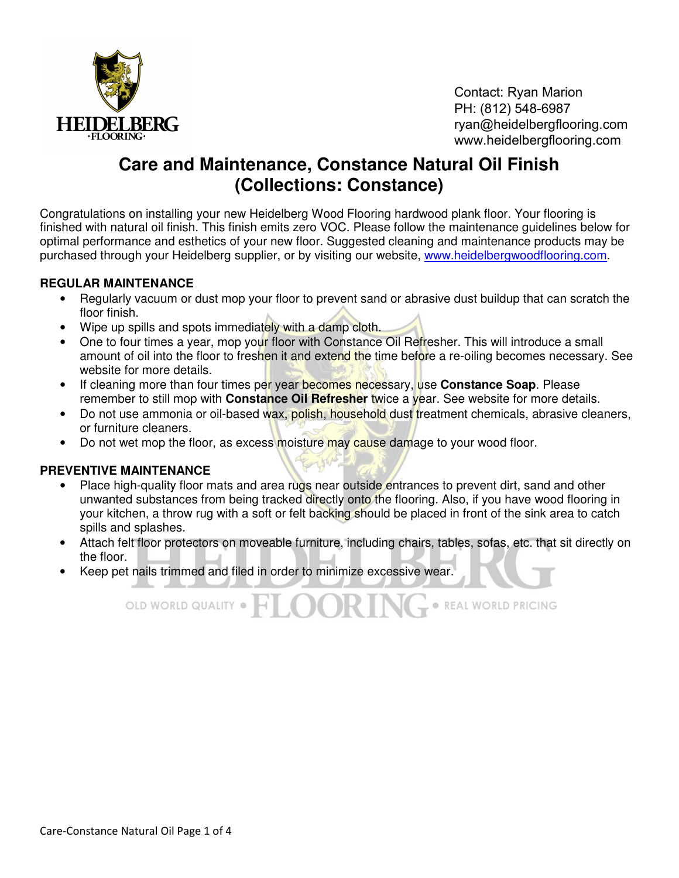

Contact: Ryan Marion PH: (812) 548-6987 ryan@heidelbergflooring.com www.heidelbergflooring.com

· REAL WORLD PRICING

# **Care and Maintenance, Constance Natural Oil Finish (Collections: Constance)**

Congratulations on installing your new Heidelberg Wood Flooring hardwood plank floor. Your flooring is finished with natural oil finish. This finish emits zero VOC. Please follow the maintenance guidelines below for optimal performance and esthetics of your new floor. Suggested cleaning and maintenance products may be purchased through your Heidelberg supplier, or by visiting our website, www.heidelbergwoodflooring.com.

### **REGULAR MAINTENANCE**

- Regularly vacuum or dust mop your floor to prevent sand or abrasive dust buildup that can scratch the floor finish.
- Wipe up spills and spots immediately with a damp cloth.
- One to four times a year, mop your floor with Constance Oil Refresher. This will introduce a small amount of oil into the floor to freshen it and extend the time before a re-oiling becomes necessary. See website for more details.
- If cleaning more than four times per year becomes necessary, use **Constance Soap**. Please remember to still mop with **Constance Oil Refresher** twice a year. See website for more details.
- Do not use ammonia or oil-based wax, polish, household dust treatment chemicals, abrasive cleaners, or furniture cleaners.
- Do not wet mop the floor, as excess moisture may cause damage to your wood floor.

## **PREVENTIVE MAINTENANCE**

- Place high-quality floor mats and area rugs near outside entrances to prevent dirt, sand and other unwanted substances from being tracked directly onto the flooring. Also, if you have wood flooring in your kitchen, a throw rug with a soft or felt backing should be placed in front of the sink area to catch spills and splashes.
- Attach felt floor protectors on moveable furniture, including chairs, tables, sofas, etc. that sit directly on the floor.
- Keep pet nails trimmed and filed in order to minimize excessive wear.

OLD WORLD QUALITY . FILOOR IN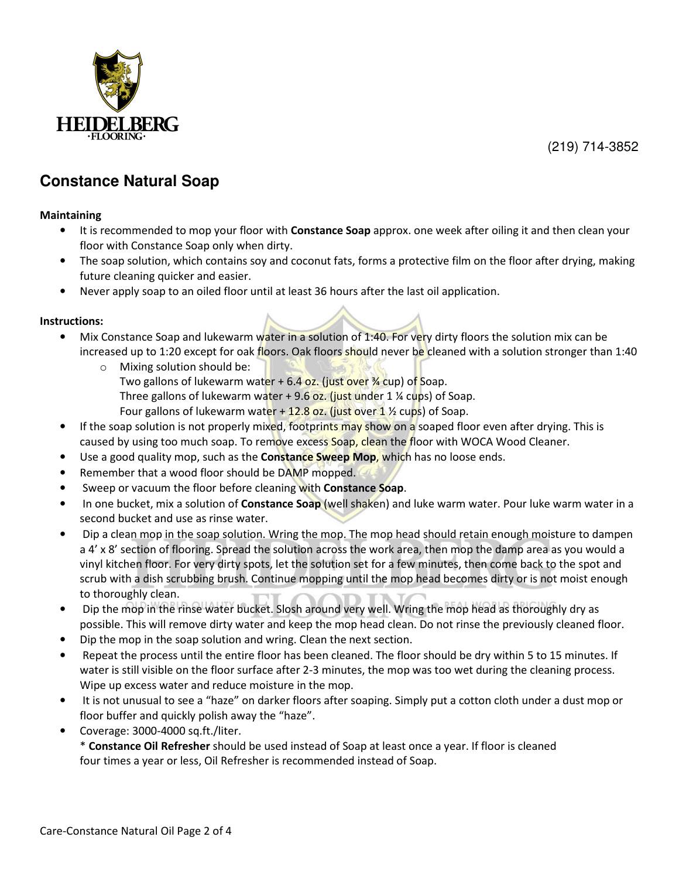

(219) 714-3852

## **Constance Natural Soap**

#### Maintaining

- It is recommended to mop your floor with Constance Soap approx. one week after oiling it and then clean your floor with Constance Soap only when dirty.
- The soap solution, which contains soy and coconut fats, forms a protective film on the floor after drying, making future cleaning quicker and easier.
- Never apply soap to an oiled floor until at least 36 hours after the last oil application.

#### Instructions:

- Mix Constance Soap and lukewarm water in a solution of 1:40. For very dirty floors the solution mix can be increased up to 1:20 except for oak floors. Oak floors should never be cleaned with a solution stronger than 1:40
	- o Mixing solution should be: Two gallons of lukewarm water  $+6.4$  oz. (just over  $\frac{3}{4}$  cup) of Soap. Three gallons of lukewarm water  $+9.6$  oz. (just under 1 % cups) of Soap. Four gallons of lukewarm water  $+12.8$  oz. (just over 1  $\frac{1}{2}$  cups) of Soap.
- If the soap solution is not properly mixed, footprints may show on a soaped floor even after drying. This is caused by using too much soap. To remove excess Soap, clean the floor with WOCA Wood Cleaner.
- Use a good quality mop, such as the **Constance Sweep Mop, which** has no loose ends.
- Remember that a wood floor should be DAMP mopped.
- Sweep or vacuum the floor before cleaning with Constance Soap.
- In one bucket, mix a solution of **Constance Soap** (well shaken) and luke warm water. Pour luke warm water in a second bucket and use as rinse water.
- Dip a clean mop in the soap solution. Wring the mop. The mop head should retain enough moisture to dampen a 4' x 8' section of flooring. Spread the solution across the work area, then mop the damp area as you would a vinyl kitchen floor. For very dirty spots, let the solution set for a few minutes, then come back to the spot and scrub with a dish scrubbing brush. Continue mopping until the mop head becomes dirty or is not moist enough to thoroughly clean.
- Dip the mop in the rinse water bucket. Slosh around very well. Wring the mop head as thoroughly dry as possible. This will remove dirty water and keep the mop head clean. Do not rinse the previously cleaned floor.
- Dip the mop in the soap solution and wring. Clean the next section.
- Repeat the process until the entire floor has been cleaned. The floor should be dry within 5 to 15 minutes. If water is still visible on the floor surface after 2-3 minutes, the mop was too wet during the cleaning process. Wipe up excess water and reduce moisture in the mop.
- It is not unusual to see a "haze" on darker floors after soaping. Simply put a cotton cloth under a dust mop or floor buffer and quickly polish away the "haze".
- Coverage: 3000-4000 sq.ft./liter.

\* Constance Oil Refresher should be used instead of Soap at least once a year. If floor is cleaned four times a year or less, Oil Refresher is recommended instead of Soap.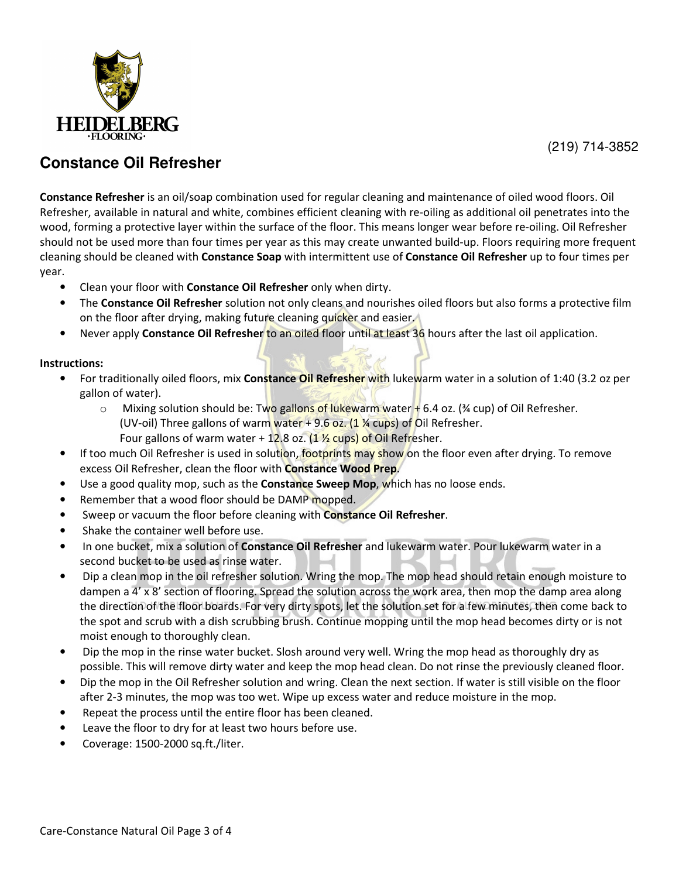

(219) 714-3852

## **Constance Oil Refresher**

Constance Refresher is an oil/soap combination used for regular cleaning and maintenance of oiled wood floors. Oil Refresher, available in natural and white, combines efficient cleaning with re-oiling as additional oil penetrates into the wood, forming a protective layer within the surface of the floor. This means longer wear before re-oiling. Oil Refresher should not be used more than four times per year as this may create unwanted build-up. Floors requiring more frequent cleaning should be cleaned with Constance Soap with intermittent use of Constance Oil Refresher up to four times per year.

- Clean your floor with Constance Oil Refresher only when dirty.
- The Constance Oil Refresher solution not only cleans and nourishes oiled floors but also forms a protective film on the floor after drying, making future cleaning quicker and easier.
- Never apply Constance Oil Refresher to an oiled floor until at least 36 hours after the last oil application.

### Instructions:

- For traditionally oiled floors, mix Constance Oil Refresher with lukewarm water in a solution of 1:40 (3.2 oz per gallon of water).
	- $\circ$  Mixing solution should be: Two gallons of lukewarm water  $+$  6.4 oz. (¾ cup) of Oil Refresher. (UV-oil) Three gallons of warm water  $+$  9.6 oz. (1 % cups) of Oil Refresher. Four gallons of warm water + 12.8 oz.  $(1 \frac{1}{2}$  cups) of Oil Refresher.
- If too much Oil Refresher is used in solution, footprints may show on the floor even after drying. To remove excess Oil Refresher, clean the floor with **Constance Wood Prep.**
- Use a good quality mop, such as the Constance Sweep Mop, which has no loose ends.
- Remember that a wood floor should be DAMP mopped.
- Sweep or vacuum the floor before cleaning with **Constance Oil Refresher**.
- Shake the container well before use.
- In one bucket, mix a solution of **Constance Oil Refresher** and lukewarm water. Pour lukewarm water in a second bucket to be used as rinse water.
- Dip a clean mop in the oil refresher solution. Wring the mop. The mop head should retain enough moisture to dampen a 4' x 8' section of flooring. Spread the solution across the work area, then mop the damp area along the direction of the floor boards. For very dirty spots, let the solution set for a few minutes, then come back to the spot and scrub with a dish scrubbing brush. Continue mopping until the mop head becomes dirty or is not moist enough to thoroughly clean.
- Dip the mop in the rinse water bucket. Slosh around very well. Wring the mop head as thoroughly dry as possible. This will remove dirty water and keep the mop head clean. Do not rinse the previously cleaned floor.
- Dip the mop in the Oil Refresher solution and wring. Clean the next section. If water is still visible on the floor after 2-3 minutes, the mop was too wet. Wipe up excess water and reduce moisture in the mop.
- Repeat the process until the entire floor has been cleaned.
- Leave the floor to dry for at least two hours before use.
- Coverage: 1500-2000 sq.ft./liter.